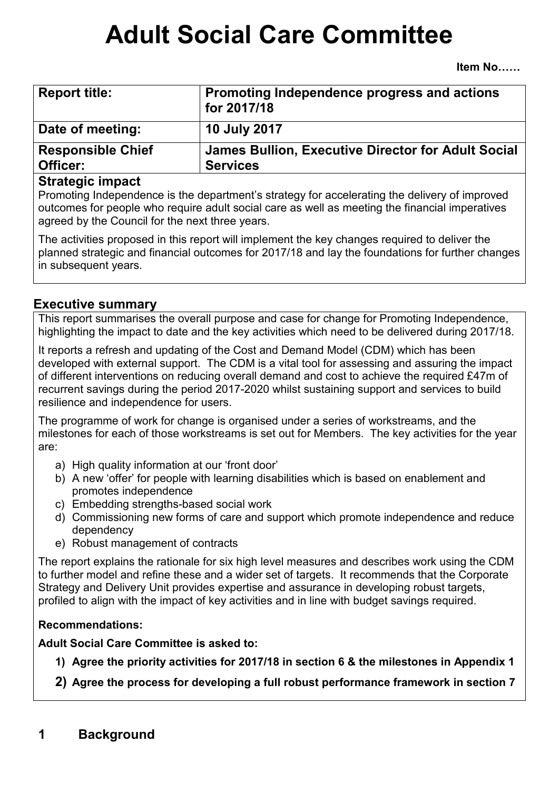# **Adult Social Care Committee**

| <b>Report title:</b>                 | Promoting Independence progress and actions<br>for 2017/18                   |
|--------------------------------------|------------------------------------------------------------------------------|
| Date of meeting:                     | <b>10 July 2017</b>                                                          |
| <b>Responsible Chief</b><br>Officer: | <b>James Bullion, Executive Director for Adult Social</b><br><b>Services</b> |

#### **Strategic impact**

Promoting Independence is the department's strategy for accelerating the delivery of improved outcomes for people who require adult social care as well as meeting the financial imperatives agreed by the Council for the next three years.

The activities proposed in this report will implement the key changes required to deliver the planned strategic and financial outcomes for 2017/18 and lay the foundations for further changes in subsequent years.

## **Executive summary**

This report summarises the overall purpose and case for change for Promoting Independence, highlighting the impact to date and the key activities which need to be delivered during 2017/18.

It reports a refresh and updating of the Cost and Demand Model (CDM) which has been developed with external support. The CDM is a vital tool for assessing and assuring the impact of different interventions on reducing overall demand and cost to achieve the required £47m of recurrent savings during the period 2017-2020 whilst sustaining support and services to build resilience and independence for users.

The programme of work for change is organised under a series of workstreams, and the milestones for each of those workstreams is set out for Members. The key activities for the year are:

- a) High quality information at our 'front door'
- b) A new 'offer' for people with learning disabilities which is based on enablement and promotes independence
- c) Embedding strengths-based social work
- d) Commissioning new forms of care and support which promote independence and reduce dependency
- e) Robust management of contracts

The report explains the rationale for six high level measures and describes work using the CDM to further model and refine these and a wider set of targets. It recommends that the Corporate Strategy and Delivery Unit provides expertise and assurance in developing robust targets, profiled to align with the impact of key activities and in line with budget savings required.

## **Recommendations:**

**Adult Social Care Committee is asked to:** 

- **1) Agree the priority activities for 2017/18 in section 6 & the milestones in Appendix 1**
- **2) Agree the process for developing a full robust performance framework in section 7**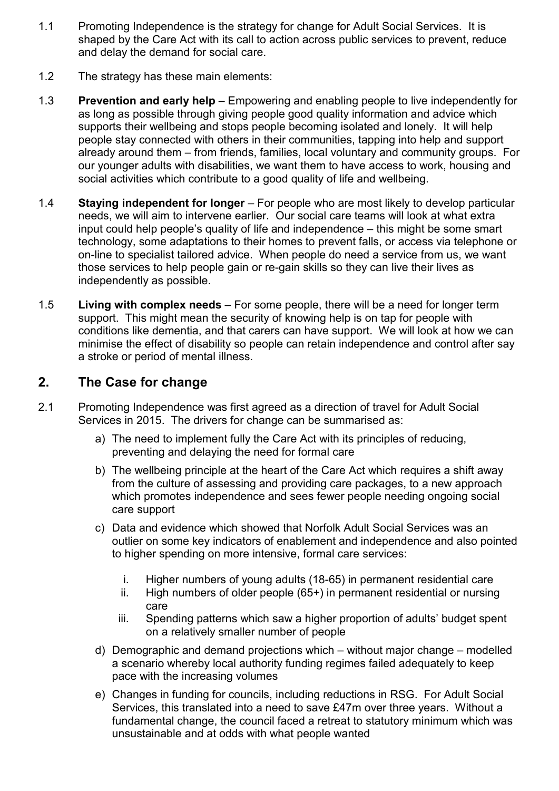- 1.1 Promoting Independence is the strategy for change for Adult Social Services. It is shaped by the Care Act with its call to action across public services to prevent, reduce and delay the demand for social care.
- 1.2 The strategy has these main elements:
- 1.3 **Prevention and early help** Empowering and enabling people to live independently for as long as possible through giving people good quality information and advice which supports their wellbeing and stops people becoming isolated and lonely. It will help people stay connected with others in their communities, tapping into help and support already around them – from friends, families, local voluntary and community groups. For our younger adults with disabilities, we want them to have access to work, housing and social activities which contribute to a good quality of life and wellbeing.
- 1.4 **Staying independent for longer** For people who are most likely to develop particular needs, we will aim to intervene earlier. Our social care teams will look at what extra input could help people's quality of life and independence – this might be some smart technology, some adaptations to their homes to prevent falls, or access via telephone or on-line to specialist tailored advice. When people do need a service from us, we want those services to help people gain or re-gain skills so they can live their lives as independently as possible.
- 1.5 **Living with complex needs** For some people, there will be a need for longer term support. This might mean the security of knowing help is on tap for people with conditions like dementia, and that carers can have support. We will look at how we can minimise the effect of disability so people can retain independence and control after say a stroke or period of mental illness.

# **2. The Case for change**

- 2.1 Promoting Independence was first agreed as a direction of travel for Adult Social Services in 2015. The drivers for change can be summarised as:
	- a) The need to implement fully the Care Act with its principles of reducing, preventing and delaying the need for formal care
	- b) The wellbeing principle at the heart of the Care Act which requires a shift away from the culture of assessing and providing care packages, to a new approach which promotes independence and sees fewer people needing ongoing social care support
	- c) Data and evidence which showed that Norfolk Adult Social Services was an outlier on some key indicators of enablement and independence and also pointed to higher spending on more intensive, formal care services:
		- i. Higher numbers of young adults (18-65) in permanent residential care
		- ii. High numbers of older people (65+) in permanent residential or nursing care
		- iii. Spending patterns which saw a higher proportion of adults' budget spent on a relatively smaller number of people
	- d) Demographic and demand projections which without major change modelled a scenario whereby local authority funding regimes failed adequately to keep pace with the increasing volumes
	- e) Changes in funding for councils, including reductions in RSG. For Adult Social Services, this translated into a need to save £47m over three years. Without a fundamental change, the council faced a retreat to statutory minimum which was unsustainable and at odds with what people wanted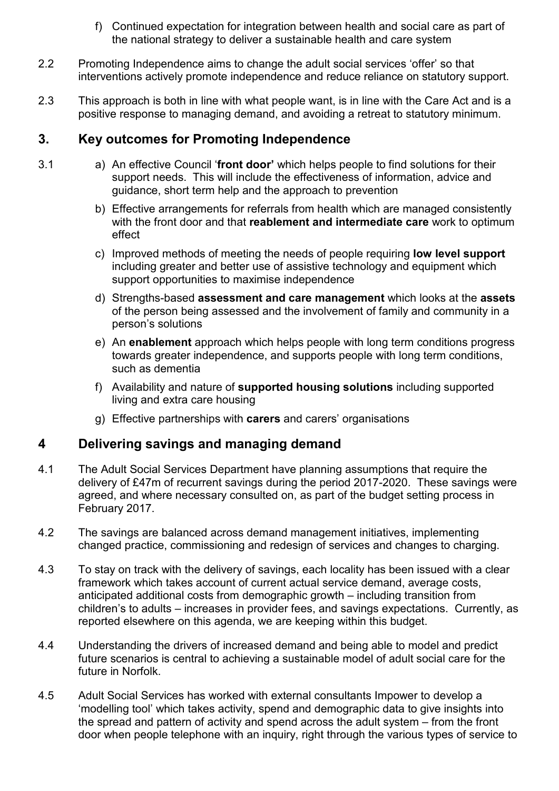- f) Continued expectation for integration between health and social care as part of the national strategy to deliver a sustainable health and care system
- 2.2 Promoting Independence aims to change the adult social services 'offer' so that interventions actively promote independence and reduce reliance on statutory support.
- 2.3 This approach is both in line with what people want, is in line with the Care Act and is a positive response to managing demand, and avoiding a retreat to statutory minimum.

# **3. Key outcomes for Promoting Independence**

- 3.1 a) An effective Council '**front door'** which helps people to find solutions for their support needs. This will include the effectiveness of information, advice and guidance, short term help and the approach to prevention
	- b) Effective arrangements for referrals from health which are managed consistently with the front door and that **reablement and intermediate care** work to optimum effect
	- c) Improved methods of meeting the needs of people requiring **low level support** including greater and better use of assistive technology and equipment which support opportunities to maximise independence
	- d) Strengths-based **assessment and care management** which looks at the **assets** of the person being assessed and the involvement of family and community in a person's solutions
	- e) An **enablement** approach which helps people with long term conditions progress towards greater independence, and supports people with long term conditions, such as dementia
	- f) Availability and nature of **supported housing solutions** including supported living and extra care housing
	- g) Effective partnerships with **carers** and carers' organisations

# **4 Delivering savings and managing demand**

- 4.1 The Adult Social Services Department have planning assumptions that require the delivery of £47m of recurrent savings during the period 2017-2020. These savings were agreed, and where necessary consulted on, as part of the budget setting process in February 2017.
- 4.2 The savings are balanced across demand management initiatives, implementing changed practice, commissioning and redesign of services and changes to charging.
- 4.3 To stay on track with the delivery of savings, each locality has been issued with a clear framework which takes account of current actual service demand, average costs, anticipated additional costs from demographic growth – including transition from children's to adults – increases in provider fees, and savings expectations. Currently, as reported elsewhere on this agenda, we are keeping within this budget.
- 4.4 Understanding the drivers of increased demand and being able to model and predict future scenarios is central to achieving a sustainable model of adult social care for the future in Norfolk.
- 4.5 Adult Social Services has worked with external consultants Impower to develop a 'modelling tool' which takes activity, spend and demographic data to give insights into the spread and pattern of activity and spend across the adult system – from the front door when people telephone with an inquiry, right through the various types of service to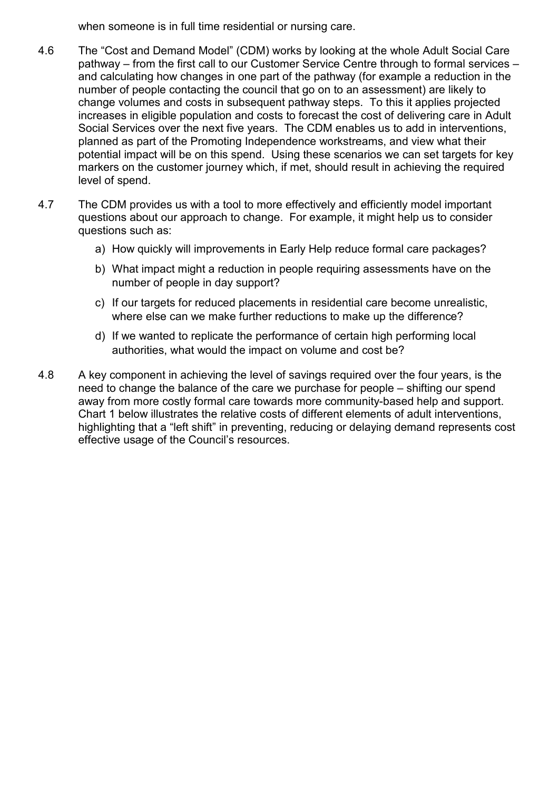when someone is in full time residential or nursing care.

- 4.6 The "Cost and Demand Model" (CDM) works by looking at the whole Adult Social Care pathway – from the first call to our Customer Service Centre through to formal services – and calculating how changes in one part of the pathway (for example a reduction in the number of people contacting the council that go on to an assessment) are likely to change volumes and costs in subsequent pathway steps. To this it applies projected increases in eligible population and costs to forecast the cost of delivering care in Adult Social Services over the next five years. The CDM enables us to add in interventions, planned as part of the Promoting Independence workstreams, and view what their potential impact will be on this spend. Using these scenarios we can set targets for key markers on the customer journey which, if met, should result in achieving the required level of spend.
- 4.7 The CDM provides us with a tool to more effectively and efficiently model important questions about our approach to change. For example, it might help us to consider questions such as:
	- a) How quickly will improvements in Early Help reduce formal care packages?
	- b) What impact might a reduction in people requiring assessments have on the number of people in day support?
	- c) If our targets for reduced placements in residential care become unrealistic, where else can we make further reductions to make up the difference?
	- d) If we wanted to replicate the performance of certain high performing local authorities, what would the impact on volume and cost be?
- 4.8 A key component in achieving the level of savings required over the four years, is the need to change the balance of the care we purchase for people – shifting our spend away from more costly formal care towards more community-based help and support. Chart 1 below illustrates the relative costs of different elements of adult interventions, highlighting that a "left shift" in preventing, reducing or delaying demand represents cost effective usage of the Council's resources.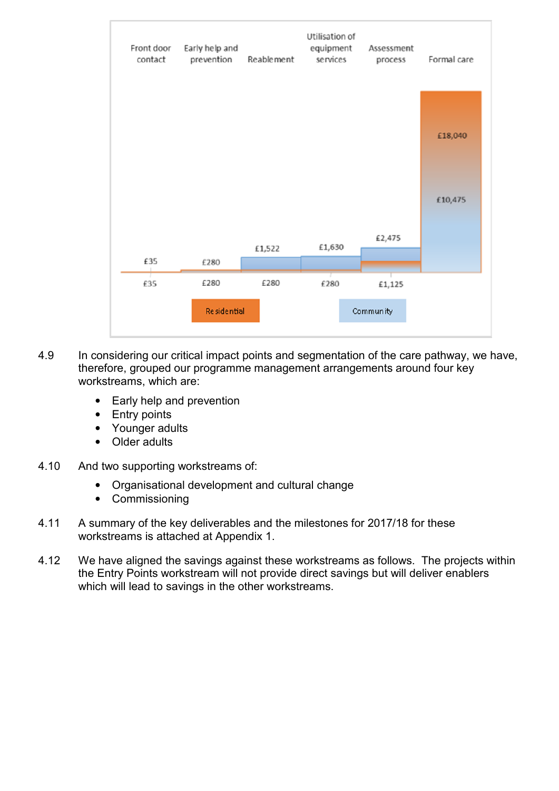

- 4.9 In considering our critical impact points and segmentation of the care pathway, we have, therefore, grouped our programme management arrangements around four key workstreams, which are:
	- Early help and prevention
	- Entry points
	- Younger adults
	- Older adults
- 4.10 And two supporting workstreams of:
	- Organisational development and cultural change
	- Commissioning
- 4.11 A summary of the key deliverables and the milestones for 2017/18 for these workstreams is attached at Appendix 1.
- 4.12 We have aligned the savings against these workstreams as follows. The projects within the Entry Points workstream will not provide direct savings but will deliver enablers which will lead to savings in the other workstreams.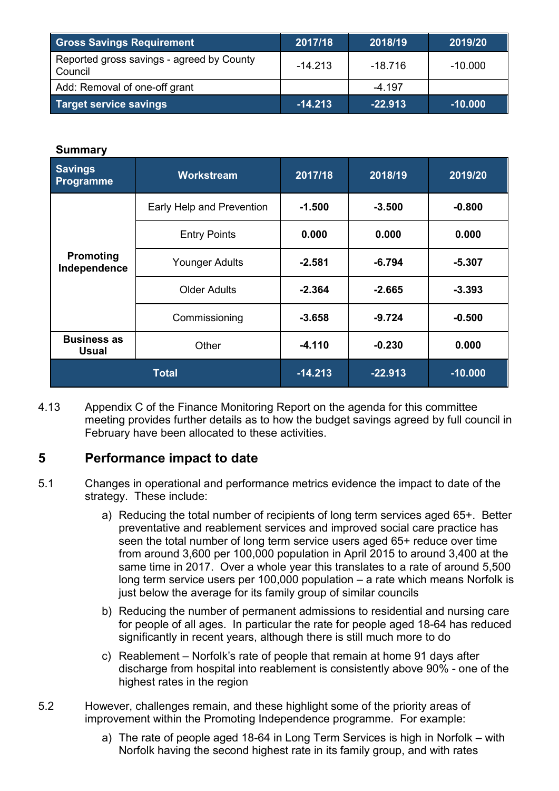| <b>Gross Savings Requirement</b>                     | 2017/18   | 2018/19   | 2019/20   |
|------------------------------------------------------|-----------|-----------|-----------|
| Reported gross savings - agreed by County<br>Council | $-14.213$ | $-18.716$ | $-10.000$ |
| Add: Removal of one-off grant                        |           | $-4.197$  |           |
| Target service savings                               | $-14.213$ | $-22.913$ | $-10.000$ |

#### **Summary**

| <b>Savings</b><br><b>Programme</b> | <b>Workstream</b>         | 2017/18   | 2018/19   | 2019/20   |
|------------------------------------|---------------------------|-----------|-----------|-----------|
| <b>Promoting</b><br>Independence   | Early Help and Prevention | $-1.500$  | $-3.500$  | $-0.800$  |
|                                    | <b>Entry Points</b>       | 0.000     | 0.000     | 0.000     |
|                                    | <b>Younger Adults</b>     | $-2.581$  | $-6.794$  | $-5.307$  |
|                                    | <b>Older Adults</b>       | $-2.364$  | $-2.665$  | $-3.393$  |
|                                    | Commissioning             | $-3.658$  | $-9.724$  | $-0.500$  |
| <b>Business as</b><br><b>Usual</b> | Other                     | $-4.110$  | $-0.230$  | 0.000     |
| <b>Total</b>                       |                           | $-14.213$ | $-22.913$ | $-10.000$ |

4.13 Appendix C of the Finance Monitoring Report on the agenda for this committee meeting provides further details as to how the budget savings agreed by full council in February have been allocated to these activities.

## **5 Performance impact to date**

- 5.1 Changes in operational and performance metrics evidence the impact to date of the strategy. These include:
	- a) Reducing the total number of recipients of long term services aged 65+. Better preventative and reablement services and improved social care practice has seen the total number of long term service users aged 65+ reduce over time from around 3,600 per 100,000 population in April 2015 to around 3,400 at the same time in 2017. Over a whole year this translates to a rate of around 5,500 long term service users per 100,000 population – a rate which means Norfolk is just below the average for its family group of similar councils
	- b) Reducing the number of permanent admissions to residential and nursing care for people of all ages. In particular the rate for people aged 18-64 has reduced significantly in recent years, although there is still much more to do
	- c) Reablement Norfolk's rate of people that remain at home 91 days after discharge from hospital into reablement is consistently above 90% - one of the highest rates in the region
- 5.2 However, challenges remain, and these highlight some of the priority areas of improvement within the Promoting Independence programme. For example:
	- a) The rate of people aged 18-64 in Long Term Services is high in Norfolk with Norfolk having the second highest rate in its family group, and with rates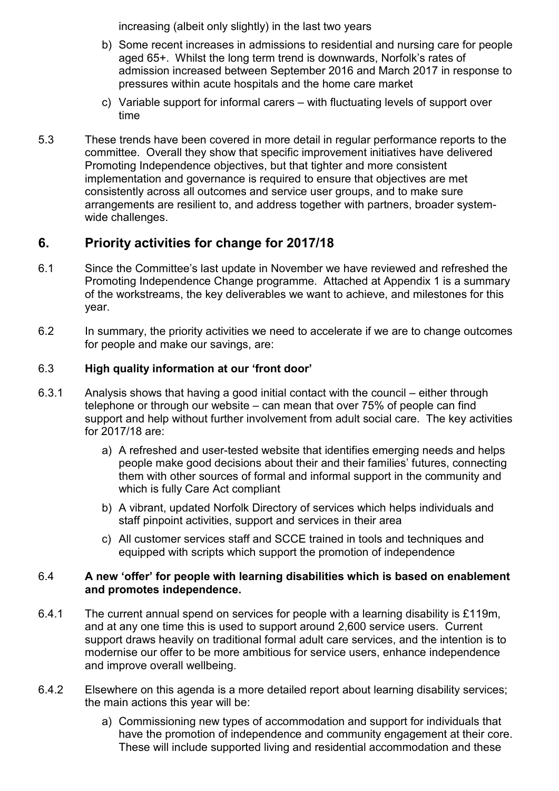increasing (albeit only slightly) in the last two years

- b) Some recent increases in admissions to residential and nursing care for people aged 65+. Whilst the long term trend is downwards, Norfolk's rates of admission increased between September 2016 and March 2017 in response to pressures within acute hospitals and the home care market
- c) Variable support for informal carers with fluctuating levels of support over time
- 5.3 These trends have been covered in more detail in regular performance reports to the committee. Overall they show that specific improvement initiatives have delivered Promoting Independence objectives, but that tighter and more consistent implementation and governance is required to ensure that objectives are met consistently across all outcomes and service user groups, and to make sure arrangements are resilient to, and address together with partners, broader systemwide challenges.

# **6. Priority activities for change for 2017/18**

- 6.1 Since the Committee's last update in November we have reviewed and refreshed the Promoting Independence Change programme. Attached at Appendix 1 is a summary of the workstreams, the key deliverables we want to achieve, and milestones for this year.
- 6.2 In summary, the priority activities we need to accelerate if we are to change outcomes for people and make our savings, are:

## 6.3 **High quality information at our 'front door'**

- 6.3.1 Analysis shows that having a good initial contact with the council either through telephone or through our website – can mean that over 75% of people can find support and help without further involvement from adult social care. The key activities for 2017/18 are:
	- a) A refreshed and user-tested website that identifies emerging needs and helps people make good decisions about their and their families' futures, connecting them with other sources of formal and informal support in the community and which is fully Care Act compliant
	- b) A vibrant, updated Norfolk Directory of services which helps individuals and staff pinpoint activities, support and services in their area
	- c) All customer services staff and SCCE trained in tools and techniques and equipped with scripts which support the promotion of independence

#### 6.4 **A new 'offer' for people with learning disabilities which is based on enablement and promotes independence.**

- 6.4.1 The current annual spend on services for people with a learning disability is £119m, and at any one time this is used to support around 2,600 service users. Current support draws heavily on traditional formal adult care services, and the intention is to modernise our offer to be more ambitious for service users, enhance independence and improve overall wellbeing.
- 6.4.2 Elsewhere on this agenda is a more detailed report about learning disability services; the main actions this year will be:
	- a) Commissioning new types of accommodation and support for individuals that have the promotion of independence and community engagement at their core. These will include supported living and residential accommodation and these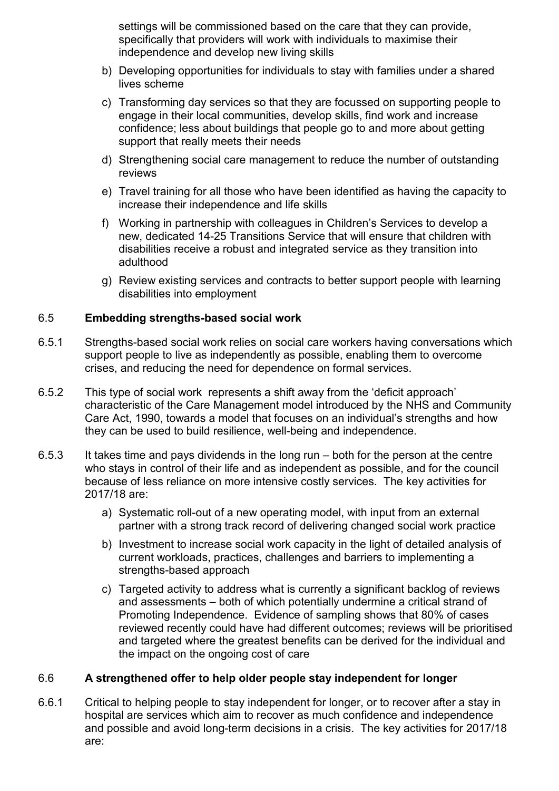settings will be commissioned based on the care that they can provide, specifically that providers will work with individuals to maximise their independence and develop new living skills

- b) Developing opportunities for individuals to stay with families under a shared lives scheme
- c) Transforming day services so that they are focussed on supporting people to engage in their local communities, develop skills, find work and increase confidence; less about buildings that people go to and more about getting support that really meets their needs
- d) Strengthening social care management to reduce the number of outstanding reviews
- e) Travel training for all those who have been identified as having the capacity to increase their independence and life skills
- f) Working in partnership with colleagues in Children's Services to develop a new, dedicated 14-25 Transitions Service that will ensure that children with disabilities receive a robust and integrated service as they transition into adulthood
- g) Review existing services and contracts to better support people with learning disabilities into employment

#### 6.5 **Embedding strengths-based social work**

- 6.5.1 Strengths-based social work relies on social care workers having conversations which support people to live as independently as possible, enabling them to overcome crises, and reducing the need for dependence on formal services.
- 6.5.2 This type of social work represents a shift away from the 'deficit approach' characteristic of the Care Management model introduced by the NHS and Community Care Act, 1990, towards a model that focuses on an individual's strengths and how they can be used to build resilience, well-being and independence.
- 6.5.3 It takes time and pays dividends in the long run both for the person at the centre who stays in control of their life and as independent as possible, and for the council because of less reliance on more intensive costly services. The key activities for 2017/18 are:
	- a) Systematic roll-out of a new operating model, with input from an external partner with a strong track record of delivering changed social work practice
	- b) Investment to increase social work capacity in the light of detailed analysis of current workloads, practices, challenges and barriers to implementing a strengths-based approach
	- c) Targeted activity to address what is currently a significant backlog of reviews and assessments – both of which potentially undermine a critical strand of Promoting Independence. Evidence of sampling shows that 80% of cases reviewed recently could have had different outcomes; reviews will be prioritised and targeted where the greatest benefits can be derived for the individual and the impact on the ongoing cost of care

#### 6.6 **A strengthened offer to help older people stay independent for longer**

6.6.1 Critical to helping people to stay independent for longer, or to recover after a stay in hospital are services which aim to recover as much confidence and independence and possible and avoid long-term decisions in a crisis. The key activities for 2017/18 are: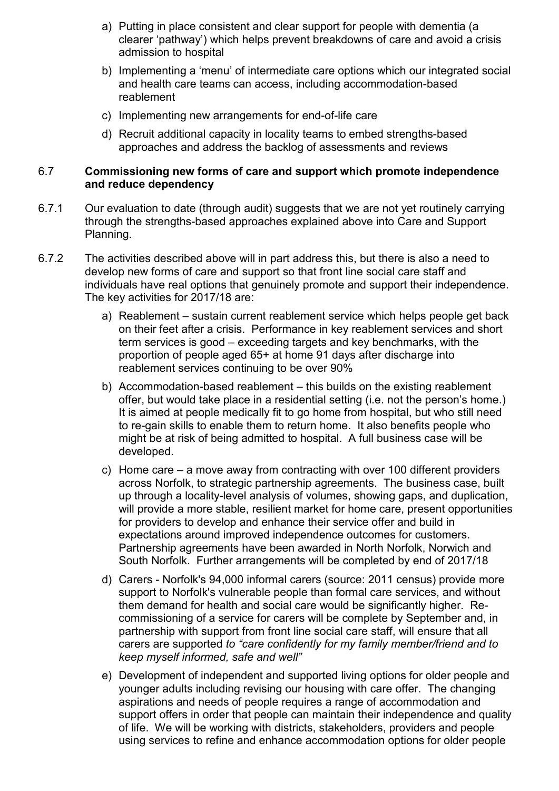- a) Putting in place consistent and clear support for people with dementia (a clearer 'pathway') which helps prevent breakdowns of care and avoid a crisis admission to hospital
- b) Implementing a 'menu' of intermediate care options which our integrated social and health care teams can access, including accommodation-based reablement
- c) Implementing new arrangements for end-of-life care
- d) Recruit additional capacity in locality teams to embed strengths-based approaches and address the backlog of assessments and reviews

#### 6.7 **Commissioning new forms of care and support which promote independence and reduce dependency**

- 6.7.1 Our evaluation to date (through audit) suggests that we are not yet routinely carrying through the strengths-based approaches explained above into Care and Support Planning.
- 6.7.2 The activities described above will in part address this, but there is also a need to develop new forms of care and support so that front line social care staff and individuals have real options that genuinely promote and support their independence. The key activities for 2017/18 are:
	- a) Reablement sustain current reablement service which helps people get back on their feet after a crisis. Performance in key reablement services and short term services is good – exceeding targets and key benchmarks, with the proportion of people aged 65+ at home 91 days after discharge into reablement services continuing to be over 90%
	- b) Accommodation-based reablement this builds on the existing reablement offer, but would take place in a residential setting (i.e. not the person's home.) It is aimed at people medically fit to go home from hospital, but who still need to re-gain skills to enable them to return home. It also benefits people who might be at risk of being admitted to hospital. A full business case will be developed.
	- c) Home care a move away from contracting with over 100 different providers across Norfolk, to strategic partnership agreements. The business case, built up through a locality-level analysis of volumes, showing gaps, and duplication, will provide a more stable, resilient market for home care, present opportunities for providers to develop and enhance their service offer and build in expectations around improved independence outcomes for customers. Partnership agreements have been awarded in North Norfolk, Norwich and South Norfolk. Further arrangements will be completed by end of 2017/18
	- d) Carers Norfolk's 94,000 informal carers (source: 2011 census) provide more support to Norfolk's vulnerable people than formal care services, and without them demand for health and social care would be significantly higher. Recommissioning of a service for carers will be complete by September and, in partnership with support from front line social care staff, will ensure that all carers are supported *to "care confidently for my family member/friend and to keep myself informed, safe and well"*
	- e) Development of independent and supported living options for older people and younger adults including revising our housing with care offer. The changing aspirations and needs of people requires a range of accommodation and support offers in order that people can maintain their independence and quality of life. We will be working with districts, stakeholders, providers and people using services to refine and enhance accommodation options for older people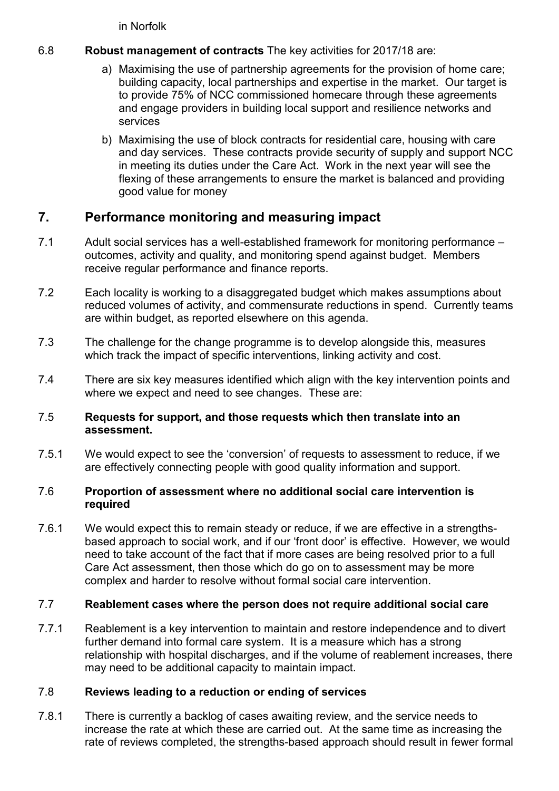in Norfolk

## 6.8 **Robust management of contracts** The key activities for 2017/18 are:

- a) Maximising the use of partnership agreements for the provision of home care; building capacity, local partnerships and expertise in the market. Our target is to provide 75% of NCC commissioned homecare through these agreements and engage providers in building local support and resilience networks and services
- b) Maximising the use of block contracts for residential care, housing with care and day services. These contracts provide security of supply and support NCC in meeting its duties under the Care Act. Work in the next year will see the flexing of these arrangements to ensure the market is balanced and providing good value for money

# **7. Performance monitoring and measuring impact**

- 7.1 Adult social services has a well-established framework for monitoring performance outcomes, activity and quality, and monitoring spend against budget. Members receive regular performance and finance reports.
- 7.2 Each locality is working to a disaggregated budget which makes assumptions about reduced volumes of activity, and commensurate reductions in spend. Currently teams are within budget, as reported elsewhere on this agenda.
- 7.3 The challenge for the change programme is to develop alongside this, measures which track the impact of specific interventions, linking activity and cost.
- 7.4 There are six key measures identified which align with the key intervention points and where we expect and need to see changes. These are:

#### 7.5 **Requests for support, and those requests which then translate into an assessment.**

7.5.1 We would expect to see the 'conversion' of requests to assessment to reduce, if we are effectively connecting people with good quality information and support.

#### 7.6 **Proportion of assessment where no additional social care intervention is required**

7.6.1 We would expect this to remain steady or reduce, if we are effective in a strengthsbased approach to social work, and if our 'front door' is effective. However, we would need to take account of the fact that if more cases are being resolved prior to a full Care Act assessment, then those which do go on to assessment may be more complex and harder to resolve without formal social care intervention.

## 7.7 **Reablement cases where the person does not require additional social care**

7.7.1 Reablement is a key intervention to maintain and restore independence and to divert further demand into formal care system. It is a measure which has a strong relationship with hospital discharges, and if the volume of reablement increases, there may need to be additional capacity to maintain impact.

## 7.8 **Reviews leading to a reduction or ending of services**

7.8.1 There is currently a backlog of cases awaiting review, and the service needs to increase the rate at which these are carried out. At the same time as increasing the rate of reviews completed, the strengths-based approach should result in fewer formal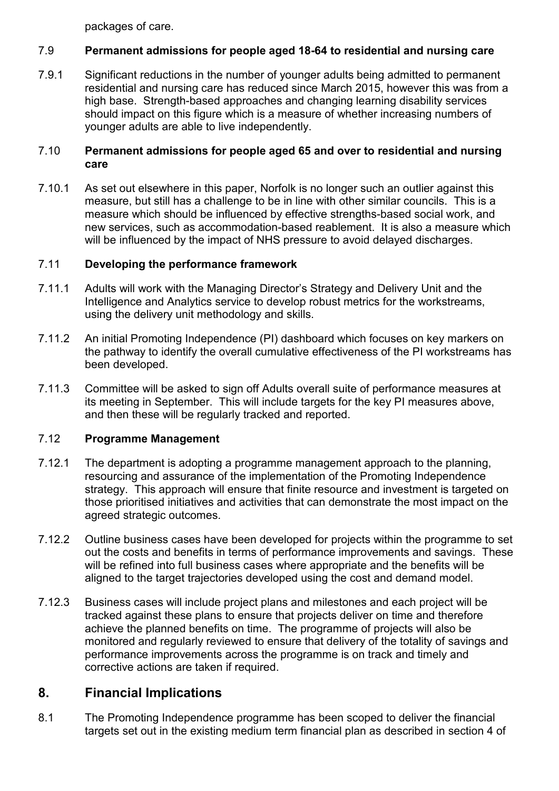packages of care.

## 7.9 **Permanent admissions for people aged 18-64 to residential and nursing care**

7.9.1 Significant reductions in the number of younger adults being admitted to permanent residential and nursing care has reduced since March 2015, however this was from a high base. Strength-based approaches and changing learning disability services should impact on this figure which is a measure of whether increasing numbers of younger adults are able to live independently.

#### 7.10 **Permanent admissions for people aged 65 and over to residential and nursing care**

7.10.1 As set out elsewhere in this paper, Norfolk is no longer such an outlier against this measure, but still has a challenge to be in line with other similar councils. This is a measure which should be influenced by effective strengths-based social work, and new services, such as accommodation-based reablement. It is also a measure which will be influenced by the impact of NHS pressure to avoid delayed discharges.

## 7.11 **Developing the performance framework**

- 7.11.1 Adults will work with the Managing Director's Strategy and Delivery Unit and the Intelligence and Analytics service to develop robust metrics for the workstreams, using the delivery unit methodology and skills.
- 7.11.2 An initial Promoting Independence (PI) dashboard which focuses on key markers on the pathway to identify the overall cumulative effectiveness of the PI workstreams has been developed.
- 7.11.3 Committee will be asked to sign off Adults overall suite of performance measures at its meeting in September. This will include targets for the key PI measures above, and then these will be regularly tracked and reported.

## 7.12 **Programme Management**

- 7.12.1 The department is adopting a programme management approach to the planning, resourcing and assurance of the implementation of the Promoting Independence strategy. This approach will ensure that finite resource and investment is targeted on those prioritised initiatives and activities that can demonstrate the most impact on the agreed strategic outcomes.
- 7.12.2 Outline business cases have been developed for projects within the programme to set out the costs and benefits in terms of performance improvements and savings. These will be refined into full business cases where appropriate and the benefits will be aligned to the target trajectories developed using the cost and demand model.
- 7.12.3 Business cases will include project plans and milestones and each project will be tracked against these plans to ensure that projects deliver on time and therefore achieve the planned benefits on time. The programme of projects will also be monitored and regularly reviewed to ensure that delivery of the totality of savings and performance improvements across the programme is on track and timely and corrective actions are taken if required.

# **8. Financial Implications**

8.1 The Promoting Independence programme has been scoped to deliver the financial targets set out in the existing medium term financial plan as described in section 4 of